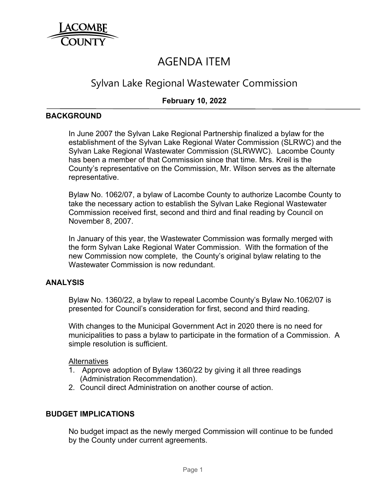

# AGENDA ITEM

## Sylvan Lake Regional Wastewater Commission

## **February 10, 2022**

#### **BACKGROUND**

In June 2007 the Sylvan Lake Regional Partnership finalized a bylaw for the establishment of the Sylvan Lake Regional Water Commission (SLRWC) and the Sylvan Lake Regional Wastewater Commission (SLRWWC). Lacombe County has been a member of that Commission since that time. Mrs. Kreil is the County's representative on the Commission, Mr. Wilson serves as the alternate representative.

Bylaw No. 1062/07, a bylaw of Lacombe County to authorize Lacombe County to take the necessary action to establish the Sylvan Lake Regional Wastewater Commission received first, second and third and final reading by Council on November 8, 2007.

In January of this year, the Wastewater Commission was formally merged with the form Sylvan Lake Regional Water Commission. With the formation of the new Commission now complete, the County's original bylaw relating to the Wastewater Commission is now redundant.

#### **ANALYSIS**

Bylaw No. 1360/22, a bylaw to repeal Lacombe County's Bylaw No.1062/07 is presented for Council's consideration for first, second and third reading.

With changes to the Municipal Government Act in 2020 there is no need for municipalities to pass a bylaw to participate in the formation of a Commission. A simple resolution is sufficient.

#### Alternatives

- 1. Approve adoption of Bylaw 1360/22 by giving it all three readings (Administration Recommendation).
- 2. Council direct Administration on another course of action.

#### **BUDGET IMPLICATIONS**

No budget impact as the newly merged Commission will continue to be funded by the County under current agreements.